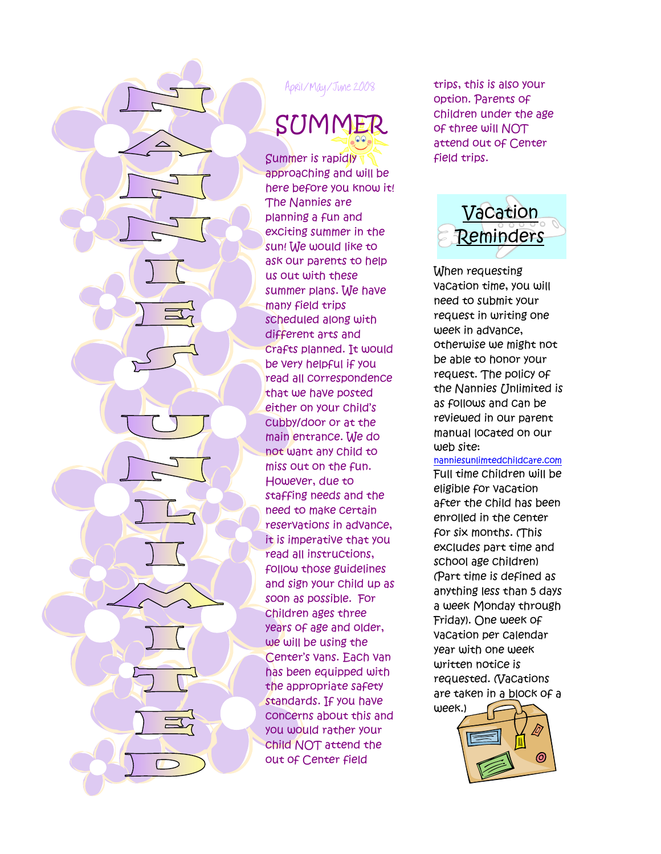

April/May/June 2008

SUMMER

Summer is rapidly approaching and will be here before you know it! The Nannies are planning a fun and exciting summer in the sun! We would like to ask our parents to help us out with these summer plans. We have many field trips scheduled along with different arts and crafts planned. It would be very helpful if you read all correspondence that we have posted either on your child's cubby/door or at the main entrance. We do not want any child to miss out on the fun. However, due to staffing needs and the need to make certain reservations in advance, it is imperative that you read all instructions, follow those guidelines and sign your child up as soon as possible. For children ages three years of age and older, we will be using the Center's vans. Each van has been equipped with the appropriate safety standards. If you have concerns about this and you would rather your child NOT attend the out of Center field

trips, this is also your option. Parents of children under the age of three will NOT attend out of Center field trips.



When requesting vacation time, you will need to submit your request in writing one week in advance, otherwise we might not be able to honor your request. The policy of the Nannies Unlimited is as follows and can be reviewed in our parent manual located on our web site:

nanniesunlimtedchildcare.com Full time children will be

eligible for vacation after the child has been enrolled in the center for six months. (This excludes part time and school age children) (Part time is defined as anything less than 5 days a week Monday through Friday). One week of vacation per calendar year with one week written notice is requested. (Vacations are taken in a block of a week.)

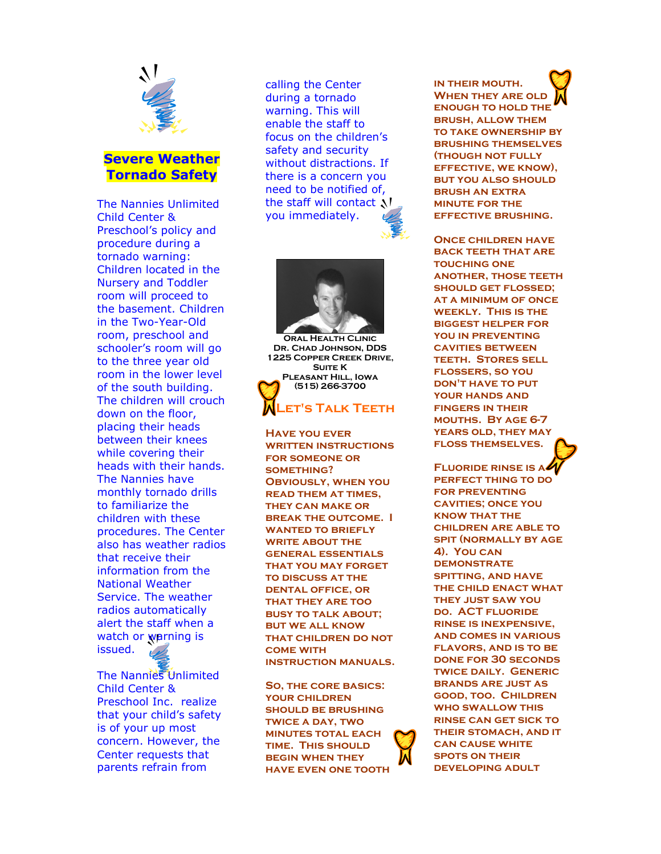

## Severe Weather Tornado Safety

The Nannies Unlimited Child Center & Preschool's policy and procedure during a tornado warning: Children located in the Nursery and Toddler room will proceed to the basement. Children in the Two-Year-Old room, preschool and schooler's room will go to the three year old room in the lower level of the south building. The children will crouch down on the floor, placing their heads between their knees while covering their heads with their hands. The Nannies have monthly tornado drills to familiarize the children with these procedures. The Center also has weather radios that receive their information from the National Weather Service. The weather radios automatically alert the staff when a watch or warning is issued.

The Nannies Unlimited Child Center & Preschool Inc. realize that your child's safety is of your up most concern. However, the Center requests that parents refrain from

calling the Center during a tornado warning. This will enable the staff to focus on the children's safety and security without distractions. If there is a concern you need to be notified of, the staff will contact N you immediately.



Oral Health Clinic Dr. Chad Johnson, DDS 1225 Copper Creek Drive, **SUITE K** Pleasant Hill, Iowa (515) 266-3700

### Let's Talk Teeth Ĩ,

Have you ever **WRITTEN INSTRUCTIONS** for someone or SOMETHING? Obviously, when you read them at times, they can make or break the outcome. I WANTED TO BRIEFLY WRITE ABOUT THE general essentials that you may forget TO DISCUSS AT THE dental office, or that they are too busy to talk about; but we all know that children do not come with instruction manuals.

So, the core basics: your children should be brushing twice a day, two minutes total each time. This should begin when they have even one tooth in their mouth. When they are old enough to hold the brush, allow them to take ownership by brushing themselves (though not fully effective, we know), but you also should brush an extra minute for the effective brushing.

Once children have back teeth that are touching one another, those teeth should get flossed; **AT A MINIMUM OF ONCE** weekly. This is the biggest helper for you in preventing cavities between teeth. Stores sell flossers, so you DON'T HAVE TO PUT your hands and fingers in their mouths. By age 6-7 years old, they may floss themselves.

Fluoride rinse is a perfect thing to do for preventing cavities; once you know that the children are able to spit (normally by age 4). You can **DEMONSTRATE** spitting, and have the child enact what they just saw you do. ACT fluoride rinse is inexpensive, and comes in various flavors, and is to be done for 30 seconds twice daily. Generic brands are just as good, too. Children who swallow this rinse can get sick to their stomach, and it can cause white spots on their developing adult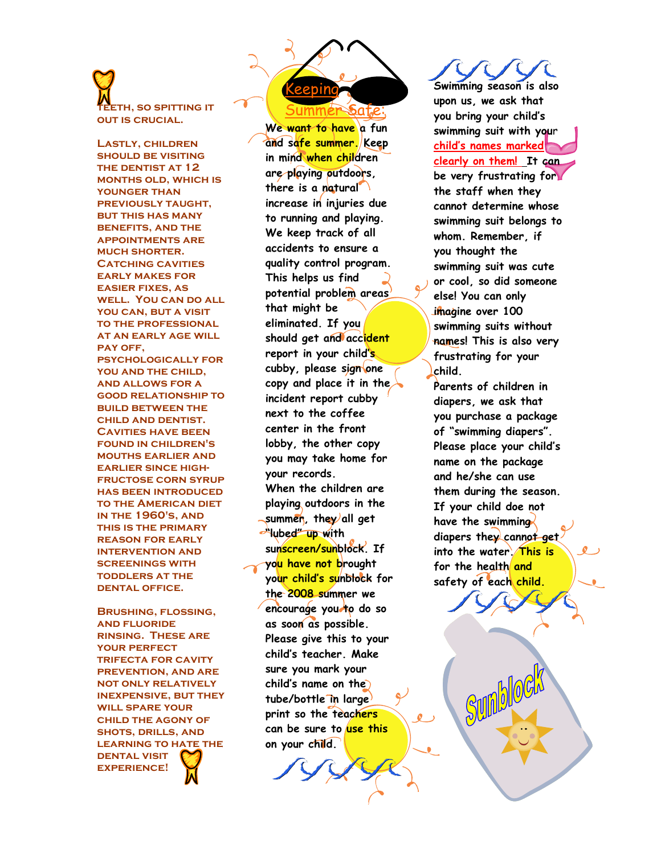# **ETH, SO SPITTING IT** out is crucial.

Lastly, children should be visiting the dentist at 12 months old, which is younger than previously taught, but this has many benefits, and the appointments are much shorter. **CATCHING CAVITIES** early makes for easier fixes, as well. You can do all YOU CAN, BUT A VISIT to the professional at an early age will PAY OFF. psychologically for YOU AND THE CHILD, and allows for a good relationship to **BUILD BETWEEN THE** child and dentist. Cavities have been found in children's mouths earlier and earlier since highfructose corn syrup has been introduced to the American diet in the 1960's, and this is the primary reason for early intervention and screenings with toddlers at the dental office.

Brushing, flossing, and fluoride rinsing. These are your perfect trifecta for cavity prevention, and are not only relatively inexpensive, but they will spare your child the agony of shots, drills, and LEARNING TO HATE THE dental visit experience!

Keeping Summer Safe:

We want to have a fun and safe summer. Keep in mind when children are playing outdoors, there is a natural increase in injuries due to running and playing. We keep track of all accidents to ensure a quality control program. This helps us find potential problem areas that might be eliminated. If you should get and accident report in your child's cubby, please sign one copy and place it in the  $\lambda$ incident report cubby next to the coffee center in the front lobby, the other copy you may take home for your records. When the children are playing outdoors in the  $\sim$ summen, they all get Whee up with sunscreen/sunblock. If yo<mark>u have not b</mark>rought your child's sunblock for the 2008 summer we encourage you to do so as soon as possible. Please give this to your child's teacher. Make sure you mark your child's name on the tube/bottle in large print so the teachers can be sure to use this on your child.

Swimming season is also upon us, we ask that you bring your child's swimming suit with your child's names marked clearly on them! It can be very frustrating for the staff when they cannot determine whose swimming suit belongs to whom. Remember, if you thought the swimming suit was cute or cool, so did someone else! You can only imagine over 100 swimming suits without names! This is also very frustrating for your child.

Parents of children in diapers, we ask that you purchase a package of "swimming diapers". Please place your child's name on the package and he/she can use them during the season. If your child doe not have the swimming diapers they cannot get. into the water. This is for the health and safety of each child.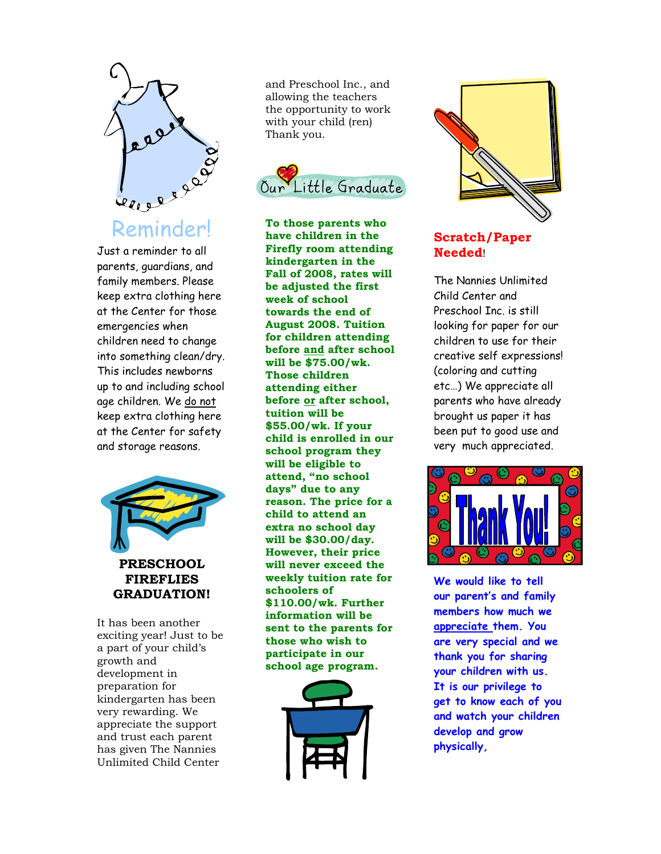

Just a reminder to all parents, guardians, and family members. Please keep extra clothing here at the Center for those emergencies when children need to change into something clean/dry. This includes newborns up to and including school age children. We do not keep extra clothing here at the Center for safety and storage reasons.



It has been another exciting year! Just to be a part of your child's growth and development in preparation for kindergarten has been very rewarding. We appreciate the support and trust each parent has given The Nannies Unlimited Child Center

and Preschool Inc., and allowing the teachers the opportunity to work with your child (ren) Thank you.



To those parents who have children in the Firefly room attending kindergarten in the Fall of 2008, rates will be adjusted the first week of school towards the end of August 2008. Tuition for children attending before and after school will be \$75.00/wk. Those children attending either before or after school, tuition will be \$55.00/wk. If your child is enrolled in our school program they will be eligible to attend, "no school days" due to any reason. The price for a child to attend an extra no school day will be \$30.00/day. However, their price will never exceed the weekly tuition rate for schoolers of \$110.00/wk. Further information will be sent to the parents for those who wish to participate in our school age program.





## Scratch/Paper Needed!

The Nannies Unlimited Child Center and Preschool Inc. is still looking for paper for our children to use for their creative self expressions! (coloring and cutting etc…) We appreciate all parents who have already brought us paper it has been put to good use and very much appreciated.



We would like to tell our parent's and family members how much we appreciate them. You are very special and we thank you for sharing your children with us. It is our privilege to get to know each of you and watch your children develop and grow physically,